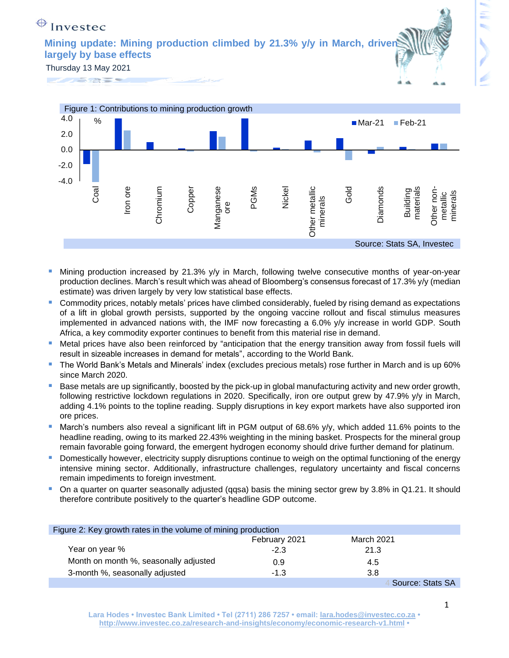## $\bigoplus$  Investec

**Mining update: Mining production climbed by 21.3% y/y in March, driven largely by base effects**

Thursday 13 May 2021



- Mining production increased by 21.3%  $y/y$  in March, following twelve consecutive months of year-on-year production declines. March's result which was ahead of Bloomberg's consensus forecast of 17.3% y/y (median estimate) was driven largely by very low statistical base effects.
- Commodity prices, notably metals' prices have climbed considerably, fueled by rising demand as expectations of a lift in global growth persists, supported by the ongoing vaccine rollout and fiscal stimulus measures implemented in advanced nations with, the IMF now forecasting a 6.0% y/y increase in world GDP. South Africa, a key commodity exporter continues to benefit from this material rise in demand.
- Metal prices have also been reinforced by "anticipation that the energy transition away from fossil fuels will result in sizeable increases in demand for metals", according to the World Bank.
- The World Bank's Metals and Minerals' index (excludes precious metals) rose further in March and is up 60% since March 2020.
- Base metals are up significantly, boosted by the pick-up in global manufacturing activity and new order growth, following restrictive lockdown regulations in 2020. Specifically, iron ore output grew by 47.9% y/y in March, adding 4.1% points to the topline reading. Supply disruptions in key export markets have also supported iron ore prices.
- March's numbers also reveal a significant lift in PGM output of 68.6% y/y, which added 11.6% points to the headline reading, owing to its marked 22.43% weighting in the mining basket. Prospects for the mineral group remain favorable going forward, the emergent hydrogen economy should drive further demand for platinum.
- **E** Domestically however, electricity supply disruptions continue to weigh on the optimal functioning of the energy intensive mining sector. Additionally, infrastructure challenges, regulatory uncertainty and fiscal concerns remain impediments to foreign investment.
- On a quarter on quarter seasonally adjusted (qqsa) basis the mining sector grew by 3.8% in Q1.21. It should therefore contribute positively to the quarter's headline GDP outcome.

| Figure 2: Key growth rates in the volume of mining production |               |                   |  |
|---------------------------------------------------------------|---------------|-------------------|--|
|                                                               | February 2021 | <b>March 2021</b> |  |
| Year on year %                                                | $-2.3$        | 21.3              |  |
| Month on month %, seasonally adjusted                         | 0.9           | 4.5               |  |
| 3-month %, seasonally adjusted                                | $-1.3$        | 3.8               |  |
|                                                               |               | Source: Stats SA  |  |

**Lara Hodes • Investec Bank Limited • Tel (2711) 286 7257 • email: [lara.hodes@investec.co.za](mailto:lara.hodes@investec.co.za) • <http://www.investec.co.za/research-and-insights/economy/economic-research-v1.html> •**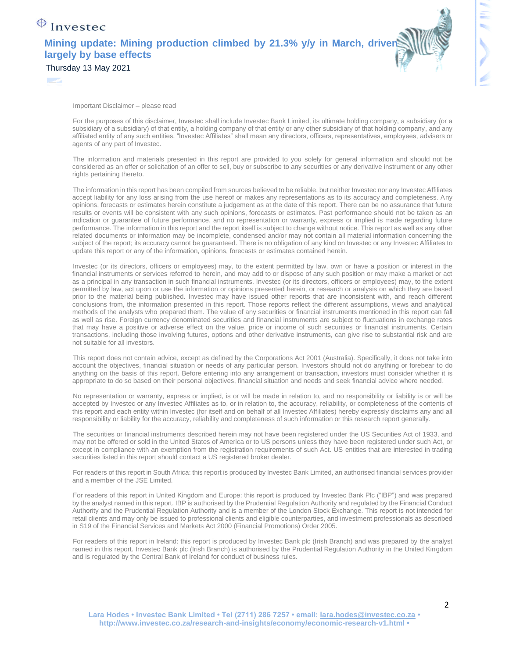## $\bigoplus$  Investec

Z

**Mining update: Mining production climbed by 21.3% y/y in March, driven largely by base effects**



Thursday 13 May 2021

Important Disclaimer – please read

For the purposes of this disclaimer, Investec shall include Investec Bank Limited, its ultimate holding company, a subsidiary (or a subsidiary of a subsidiary) of that entity, a holding company of that entity or any other subsidiary of that holding company, and any affiliated entity of any such entities. "Investec Affiliates" shall mean any directors, officers, representatives, employees, advisers or agents of any part of Investec.

The information and materials presented in this report are provided to you solely for general information and should not be considered as an offer or solicitation of an offer to sell, buy or subscribe to any securities or any derivative instrument or any other rights pertaining thereto.

The information in this report has been compiled from sources believed to be reliable, but neither Investec nor any Investec Affiliates accept liability for any loss arising from the use hereof or makes any representations as to its accuracy and completeness. Any opinions, forecasts or estimates herein constitute a judgement as at the date of this report. There can be no assurance that future results or events will be consistent with any such opinions, forecasts or estimates. Past performance should not be taken as an indication or guarantee of future performance, and no representation or warranty, express or implied is made regarding future performance. The information in this report and the report itself is subject to change without notice. This report as well as any other related documents or information may be incomplete, condensed and/or may not contain all material information concerning the subject of the report; its accuracy cannot be guaranteed. There is no obligation of any kind on Investec or any Investec Affiliates to update this report or any of the information, opinions, forecasts or estimates contained herein.

Investec (or its directors, officers or employees) may, to the extent permitted by law, own or have a position or interest in the financial instruments or services referred to herein, and may add to or dispose of any such position or may make a market or act as a principal in any transaction in such financial instruments. Investec (or its directors, officers or employees) may, to the extent permitted by law, act upon or use the information or opinions presented herein, or research or analysis on which they are based prior to the material being published. Investec may have issued other reports that are inconsistent with, and reach different conclusions from, the information presented in this report. Those reports reflect the different assumptions, views and analytical methods of the analysts who prepared them. The value of any securities or financial instruments mentioned in this report can fall as well as rise. Foreign currency denominated securities and financial instruments are subject to fluctuations in exchange rates that may have a positive or adverse effect on the value, price or income of such securities or financial instruments. Certain transactions, including those involving futures, options and other derivative instruments, can give rise to substantial risk and are not suitable for all investors.

This report does not contain advice, except as defined by the Corporations Act 2001 (Australia). Specifically, it does not take into account the objectives, financial situation or needs of any particular person. Investors should not do anything or forebear to do anything on the basis of this report. Before entering into any arrangement or transaction, investors must consider whether it is appropriate to do so based on their personal objectives, financial situation and needs and seek financial advice where needed.

No representation or warranty, express or implied, is or will be made in relation to, and no responsibility or liability is or will be accepted by Investec or any Investec Affiliates as to, or in relation to, the accuracy, reliability, or completeness of the contents of this report and each entity within Investec (for itself and on behalf of all Investec Affiliates) hereby expressly disclaims any and all responsibility or liability for the accuracy, reliability and completeness of such information or this research report generally.

The securities or financial instruments described herein may not have been registered under the US Securities Act of 1933, and may not be offered or sold in the United States of America or to US persons unless they have been registered under such Act, or except in compliance with an exemption from the registration requirements of such Act. US entities that are interested in trading securities listed in this report should contact a US registered broker dealer.

For readers of this report in South Africa: this report is produced by Investec Bank Limited, an authorised financial services provider and a member of the JSE Limited.

For readers of this report in United Kingdom and Europe: this report is produced by Investec Bank Plc ("IBP") and was prepared by the analyst named in this report. IBP is authorised by the Prudential Regulation Authority and regulated by the Financial Conduct Authority and the Prudential Regulation Authority and is a member of the London Stock Exchange. This report is not intended for retail clients and may only be issued to professional clients and eligible counterparties, and investment professionals as described in S19 of the Financial Services and Markets Act 2000 (Financial Promotions) Order 2005.

For readers of this report in Ireland: this report is produced by Investec Bank plc (Irish Branch) and was prepared by the analyst named in this report. Investec Bank plc (Irish Branch) is authorised by the Prudential Regulation Authority in the United Kingdom and is regulated by the Central Bank of Ireland for conduct of business rules.